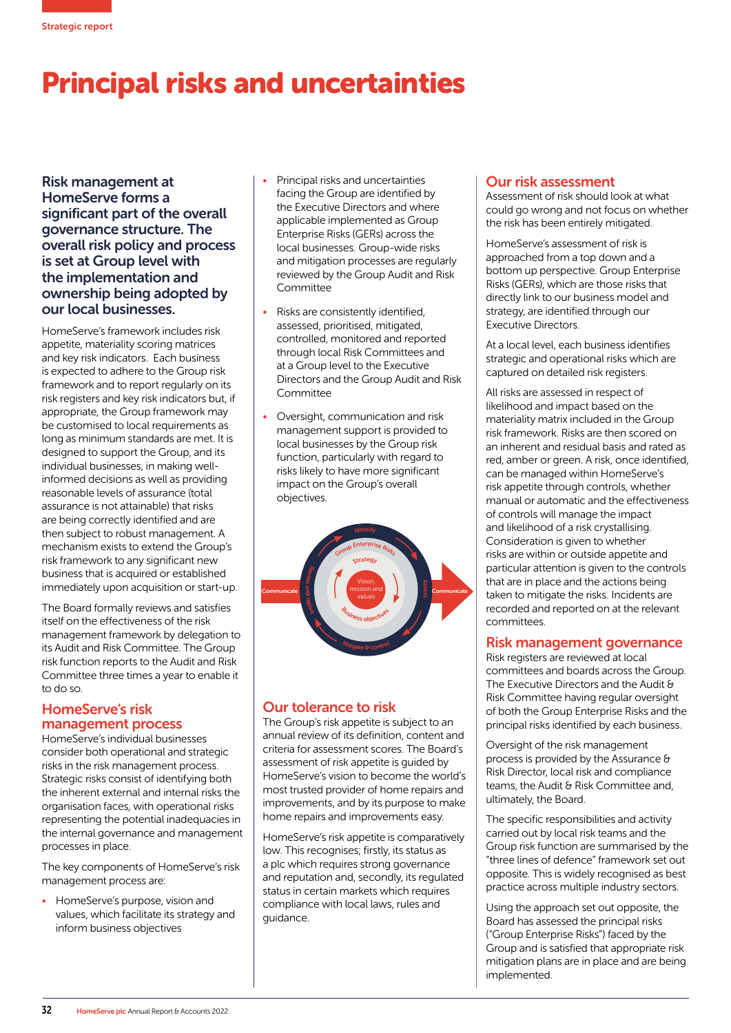

# Principal risks and uncertainties

Risk management at HomeServe forms a significant part of the overall governance structure. The overall risk policy and process is set at Group level with the implementation and ownership being adopted by our local businesses.

HomeServe's framework includes risk appetite, materiality scoring matrices and key risk indicators. Each business is expected to adhere to the Group risk framework and to report regularly on its risk registers and key risk indicators but, if appropriate, the Group framework may be customised to local requirements as long as minimum standards are met. It is designed to support the Group, and its individual businesses, in making wellinformed decisions as well as providing reasonable levels of assurance (total assurance is not attainable) that risks are being correctly identified and are then subject to robust management. A mechanism exists to extend the Group's risk framework to any significant new business that is acquired or established immediately upon acquisition or start-up.

The Board formally reviews and satisfies itself on the effectiveness of the risk management framework by delegation to its Audit and Risk Committee. The Group risk function reports to the Audit and Risk Committee three times a year to enable it to do so.

## HomeServe's risk management process

HomeServe's individual businesses consider both operational and strategic risks in the risk management process. Strategic risks consist of identifying both the inherent external and internal risks the organisation faces, with operational risks representing the potential inadequacies in the internal governance and management processes in place.

The key components of HomeServe's risk management process are:

• HomeServe's purpose, vision and values, which facilitate its strategy and inform business objectives

- Principal risks and uncertainties facing the Group are identified by the Executive Directors and where applicable implemented as Group Enterprise Risks (GERs) across the local businesses. Group-wide risks and mitigation processes are regularly reviewed by the Group Audit and Risk Committee
- Risks are consistently identified, assessed, prioritised, mitigated, controlled, monitored and reported through local Risk Committees and at a Group level to the Executive Directors and the Group Audit and Risk Committee
- Oversight, communication and risk management support is provided to local businesses by the Group risk function, particularly with regard to risks likely to have more significant impact on the Group's overall objectives.



# Our tolerance to risk

The Group's risk appetite is subject to an annual review of its definition, content and criteria for assessment scores. The Board's assessment of risk appetite is guided by HomeServe's vision to become the world's most trusted provider of home repairs and improvements, and by its purpose to make home repairs and improvements easy.

HomeServe's risk appetite is comparatively low. This recognises; firstly, its status as a plc which requires strong governance and reputation and, secondly, its regulated status in certain markets which requires compliance with local laws, rules and guidance.

# Our risk assessment

Assessment of risk should look at what could go wrong and not focus on whether the risk has been entirely mitigated.

HomeServe's assessment of risk is approached from a top down and a bottom up perspective. Group Enterprise Risks (GERs), which are those risks that directly link to our business model and strategy, are identified through our Executive Directors.

At a local level, each business identifies strategic and operational risks which are captured on detailed risk registers.

All risks are assessed in respect of likelihood and impact based on the materiality matrix included in the Group risk framework. Risks are then scored on an inherent and residual basis and rated as red, amber or green. A risk, once identified, can be managed within HomeServe's risk appetite through controls, whether manual or automatic and the effectiveness of controls will manage the impact and likelihood of a risk crystallising. Consideration is given to whether risks are within or outside appetite and particular attention is given to the controls that are in place and the actions being taken to mitigate the risks. Incidents are recorded and reported on at the relevant committees.

## Risk management governance

Risk registers are reviewed at local committees and boards across the Group. The Executive Directors and the Audit & Risk Committee having regular oversight of both the Group Enterprise Risks and the principal risks identified by each business.

Oversight of the risk management process is provided by the Assurance & Risk Director, local risk and compliance teams, the Audit & Risk Committee and, ultimately, the Board.

The specific responsibilities and activity carried out by local risk teams and the Group risk function are summarised by the "three lines of defence" framework set out opposite. This is widely recognised as best practice across multiple industry sectors.

Using the approach set out opposite, the Board has assessed the principal risks ("Group Enterprise Risks") faced by the Group and is satisfied that appropriate risk mitigation plans are in place and are being implemented.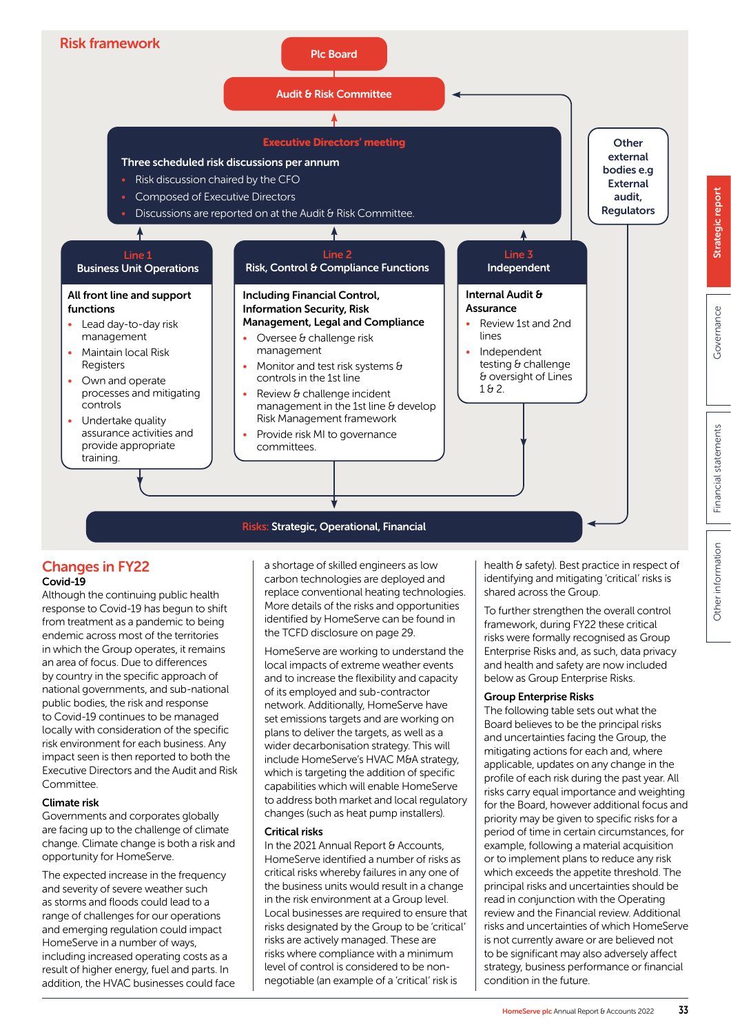

## Changes in FY22 Covid-19

Although the continuing public health response to Covid-19 has begun to shift from treatment as a pandemic to being endemic across most of the territories in which the Group operates, it remains an area of focus. Due to differences by country in the specific approach of national governments, and sub-national public bodies, the risk and response to Covid-19 continues to be managed locally with consideration of the specific risk environment for each business. Any impact seen is then reported to both the Executive Directors and the Audit and Risk **Committee** 

### Climate risk

Governments and corporates globally are facing up to the challenge of climate change. Climate change is both a risk and opportunity for HomeServe.

The expected increase in the frequency and severity of severe weather such as storms and floods could lead to a range of challenges for our operations and emerging regulation could impact HomeServe in a number of ways, including increased operating costs as a result of higher energy, fuel and parts. In addition, the HVAC businesses could face

a shortage of skilled engineers as low carbon technologies are deployed and replace conventional heating technologies. More details of the risks and opportunities identified by HomeServe can be found in the TCFD disclosure on page 29.

HomeServe are working to understand the local impacts of extreme weather events and to increase the flexibility and capacity of its employed and sub-contractor network. Additionally, HomeServe have set emissions targets and are working on plans to deliver the targets, as well as a wider decarbonisation strategy. This will include HomeServe's HVAC M&A strategy, which is targeting the addition of specific capabilities which will enable HomeServe to address both market and local regulatory changes (such as heat pump installers).

### Critical risks

In the 2021 Annual Report & Accounts, HomeServe identified a number of risks as critical risks whereby failures in any one of the business units would result in a change in the risk environment at a Group level. Local businesses are required to ensure that risks designated by the Group to be 'critical' risks are actively managed. These are risks where compliance with a minimum level of control is considered to be nonnegotiable (an example of a 'critical' risk is

health & safety). Best practice in respect of identifying and mitigating 'critical' risks is shared across the Group.

To further strengthen the overall control framework, during FY22 these critical risks were formally recognised as Group Enterprise Risks and, as such, data privacy and health and safety are now included below as Group Enterprise Risks.

### Group Enterprise Risks

The following table sets out what the Board believes to be the principal risks and uncertainties facing the Group, the mitigating actions for each and, where applicable, updates on any change in the profile of each risk during the past year. All risks carry equal importance and weighting for the Board, however additional focus and priority may be given to specific risks for a period of time in certain circumstances, for example, following a material acquisition or to implement plans to reduce any risk which exceeds the appetite threshold. The principal risks and uncertainties should be read in conjunction with the Operating review and the Financial review. Additional risks and uncertainties of which HomeServe is not currently aware or are believed not to be significant may also adversely affect strategy, business performance or financial condition in the future.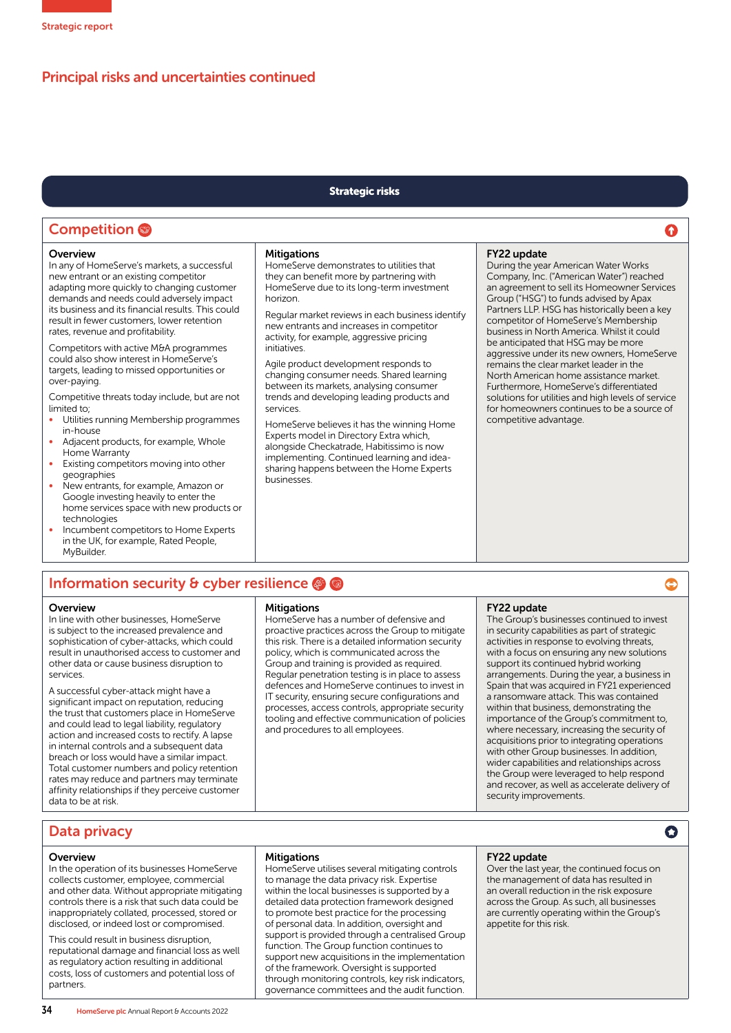# Principal risks and uncertainties continued

### Strategic risks

# **Competition**

#### **Overview**

In any of HomeServe's markets, a successful new entrant or an existing competitor adapting more quickly to changing customer demands and needs could adversely impact its business and its financial results. This could result in fewer customers, lower retention rates, revenue and profitability.

Competitors with active M&A programmes could also show interest in HomeServe's targets, leading to missed opportunities or over-paying.

Competitive threats today include, but are not limited to;

- Utilities running Membership programmes in-house
- Adjacent products, for example, Whole Home Warranty
- Existing competitors moving into other geographies
- New entrants, for example, Amazon or Google investing heavily to enter the home services space with new products or technologies
- Incumbent competitors to Home Experts in the UK, for example, Rated People, MyBuilder.

### **Mitigations**

HomeServe demonstrates to utilities that they can benefit more by partnering with HomeServe due to its long-term investment horizon.

Regular market reviews in each business identify new entrants and increases in competitor activity, for example, aggressive pricing initiatives.

Agile product development responds to changing consumer needs. Shared learning between its markets, analysing consumer trends and developing leading products and services.

HomeServe believes it has the winning Home Experts model in Directory Extra which, alongside Checkatrade, Habitissimo is now implementing. Continued learning and ideasharing happens between the Home Experts businesses.

### FY22 update

During the year American Water Works Company, Inc. ("American Water") reached an agreement to sell its Homeowner Services Group ("HSG") to funds advised by Apax Partners LLP. HSG has historically been a key competitor of HomeServe's Membership business in North America. Whilst it could be anticipated that HSG may be more aggressive under its new owners, HomeServe remains the clear market leader in the North American home assistance market. Furthermore, HomeServe's differentiated solutions for utilities and high levels of service for homeowners continues to be a source of competitive advantage.

⋒

€

 $\bullet$ 

# Information security & cyber resilience

#### **Overview**

In line with other businesses, HomeServe is subject to the increased prevalence and sophistication of cyber-attacks, which could result in unauthorised access to customer and other data or cause business disruption to services.

A successful cyber-attack might have a significant impact on reputation, reducing the trust that customers place in HomeServe and could lead to legal liability, regulatory action and increased costs to rectify. A lapse in internal controls and a subsequent data breach or loss would have a similar impact. Total customer numbers and policy retention rates may reduce and partners may terminate affinity relationships if they perceive customer data to be at risk.

### **Mitigations**

HomeServe has a number of defensive and proactive practices across the Group to mitigate this risk. There is a detailed information security policy, which is communicated across the Group and training is provided as required. Regular penetration testing is in place to assess defences and HomeServe continues to invest in IT security, ensuring secure configurations and processes, access controls, appropriate security tooling and effective communication of policies and procedures to all employees.

### FY22 update

The Group's businesses continued to invest in security capabilities as part of strategic activities in response to evolving threats, with a focus on ensuring any new solutions support its continued hybrid working arrangements. During the year, a business in Spain that was acquired in FY21 experienced a ransomware attack. This was contained within that business, demonstrating the importance of the Group's commitment to, where necessary, increasing the security of acquisitions prior to integrating operations with other Group businesses. In addition, wider capabilities and relationships across the Group were leveraged to help respond and recover, as well as accelerate delivery of security improvements.

## Data privacy

### **Overview**

In the operation of its businesses HomeServe collects customer, employee, commercial and other data. Without appropriate mitigating controls there is a risk that such data could be inappropriately collated, processed, stored or disclosed, or indeed lost or compromised.

This could result in business disruption, reputational damage and financial loss as well as regulatory action resulting in additional costs, loss of customers and potential loss of partners.

### **Mitigations**

HomeServe utilises several mitigating controls to manage the data privacy risk. Expertise within the local businesses is supported by a detailed data protection framework designed to promote best practice for the processing of personal data. In addition, oversight and support is provided through a centralised Group function. The Group function continues to support new acquisitions in the implementation of the framework. Oversight is supported through monitoring controls, key risk indicators, governance committees and the audit function.

### FY22 update

Over the last year, the continued focus on the management of data has resulted in an overall reduction in the risk exposure across the Group. As such, all businesses are currently operating within the Group's appetite for this risk.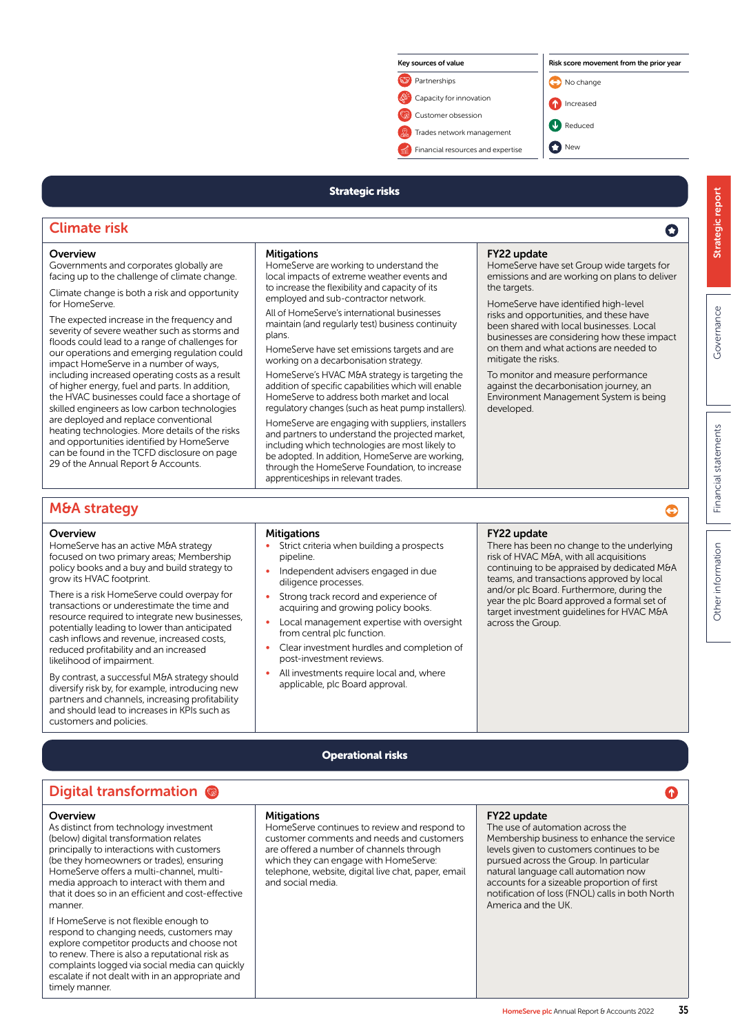

# Strategic risks

# Climate risk

#### **Overview** Governments and corporates globally are

for HomeServe.

**Mitigations** 

HomeServe are working to understand the local impacts of extreme weather events and to increase the flexibility and capacity of its employed and sub-contractor network.

All of HomeServe's international businesses maintain (and regularly test) business continuity plans.

HomeServe have set emissions targets and are working on a decarbonisation strategy.

HomeServe's HVAC M&A strategy is targeting the addition of specific capabilities which will enable HomeServe to address both market and local regulatory changes (such as heat pump installers). HomeServe are engaging with suppliers, installers and partners to understand the projected market, including which technologies are most likely to be adopted. In addition, HomeServe are working, through the HomeServe Foundation, to increase apprenticeships in relevant trades.

### FY22 update

HomeServe have set Group wide targets for emissions and are working on plans to deliver the targets.

HomeServe have identified high-level risks and opportunities, and these have been shared with local businesses. Local businesses are considering how these impact on them and what actions are needed to mitigate the risks.

To monitor and measure performance against the decarbonisation journey, an Environment Management System is being developed.

# M&A strategy

### **Overview**

HomeServe has an active M&A strategy focused on two primary areas; Membership policy books and a buy and build strategy to grow its HVAC footprint.

facing up to the challenge of climate change. Climate change is both a risk and opportunity

The expected increase in the frequency and severity of severe weather such as storms and floods could lead to a range of challenges for our operations and emerging regulation could impact HomeServe in a number of ways, including increased operating costs as a result of higher energy, fuel and parts. In addition, the HVAC businesses could face a shortage of skilled engineers as low carbon technologies are deployed and replace conventional heating technologies. More details of the risks and opportunities identified by HomeServe can be found in the TCFD disclosure on page 29 of the Annual Report & Accounts.

There is a risk HomeServe could overpay for transactions or underestimate the time and resource required to integrate new businesses, potentially leading to lower than anticipated cash inflows and revenue, increased costs, reduced profitability and an increased likelihood of impairment.

By contrast, a successful M&A strategy should diversify risk by, for example, introducing new partners and channels, increasing profitability and should lead to increases in KPIs such as customers and policies.

### **Mitigations**

- Strict criteria when building a prospects pipeline.
- Independent advisers engaged in due diligence processes.
- Strong track record and experience of acquiring and growing policy books.
- Local management expertise with oversight from central plc function.
- Clear investment hurdles and completion of post-investment reviews.
- All investments require local and, where applicable, plc Board approval.

#### FY22 update

There has been no change to the underlying risk of HVAC M&A, with all acquisitions continuing to be appraised by dedicated M&A teams, and transactions approved by local and/or plc Board. Furthermore, during the year the plc Board approved a formal set of target investment guidelines for HVAC M&A across the Group.

Strategic report

Strategic report

 $\mathbf O$ 

**Governance** 

Governance

Financial statements

Financial statements

# Operational risks

# Digital transformation

### **Overview**

As distinct from technology investment (below) digital transformation relates principally to interactions with customers (be they homeowners or trades), ensuring HomeServe offers a multi-channel, multimedia approach to interact with them and that it does so in an efficient and cost-effective manner.

If HomeServe is not flexible enough to respond to changing needs, customers may explore competitor products and choose not to renew. There is also a reputational risk as complaints logged via social media can quickly escalate if not dealt with in an appropriate and timely manner.

#### **Mitigations**

HomeServe continues to review and respond to customer comments and needs and customers are offered a number of channels through which they can engage with HomeServe: telephone, website, digital live chat, paper, email and social media.

#### FY22 update

The use of automation across the Membership business to enhance the service levels given to customers continues to be pursued across the Group. In particular natural language call automation now accounts for a sizeable proportion of first notification of loss (FNOL) calls in both North America and the UK.

⊜

Ω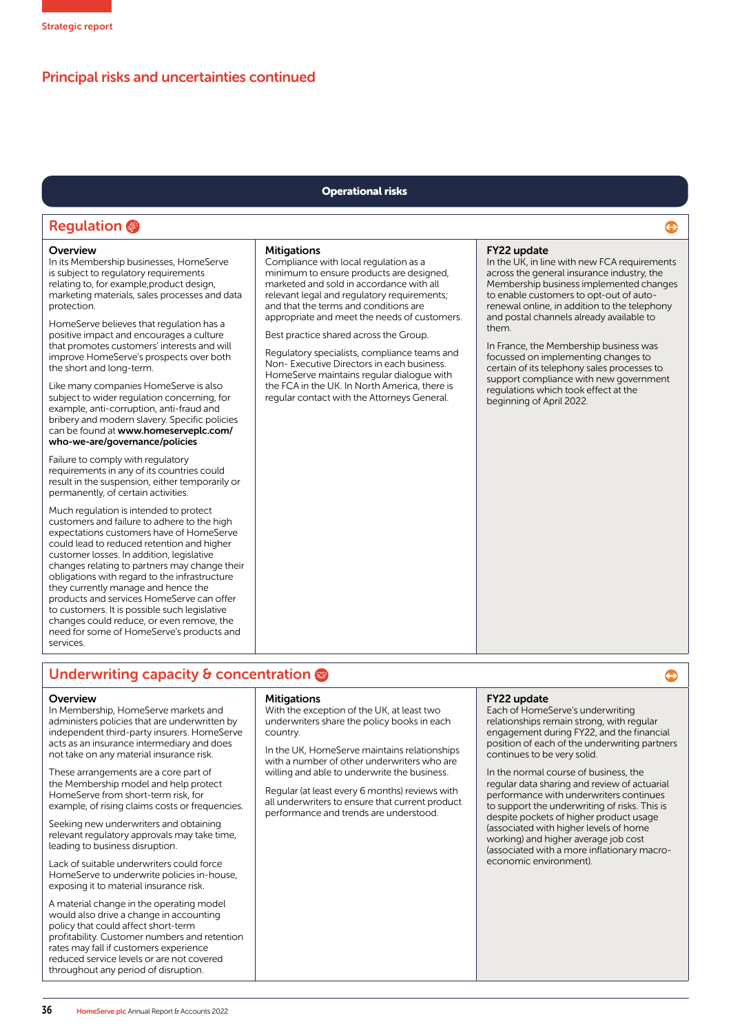# Principal risks and uncertainties continued

### Operational risks

# Regulation @

### **Overview**

In its Membership businesses, HomeServe is subject to regulatory requirements relating to, for example,product design, marketing materials, sales processes and data protection.

HomeServe believes that regulation has a positive impact and encourages a culture that promotes customers' interests and will improve HomeServe's prospects over both the short and long-term.

Like many companies HomeServe is also subject to wider regulation concerning, for example, anti-corruption, anti-fraud and bribery and modern slavery. Specific policies can be found at www.homeserveplc.com/ who-we-are/governance/policies

Failure to comply with regulatory requirements in any of its countries could result in the suspension, either temporarily or permanently, of certain activities.

Much regulation is intended to protect customers and failure to adhere to the high expectations customers have of HomeServe could lead to reduced retention and higher customer losses. In addition, legislative changes relating to partners may change their obligations with regard to the infrastructure they currently manage and hence the products and services HomeServe can offer to customers. It is possible such legislative changes could reduce, or even remove, the need for some of HomeServe's products and services.

### **Mitigations**

Compliance with local regulation as a minimum to ensure products are designed, marketed and sold in accordance with all relevant legal and regulatory requirements; and that the terms and conditions are appropriate and meet the needs of customers.

Best practice shared across the Group.

Regulatory specialists, compliance teams and Non- Executive Directors in each business. HomeServe maintains regular dialogue with the FCA in the UK. In North America, there is regular contact with the Attorneys General.

### FY22 update

In the UK, in line with new FCA requirements across the general insurance industry, the Membership business implemented changes to enable customers to opt-out of autorenewal online, in addition to the telephony and postal channels already available to them.

e

⊜

In France, the Membership business was focussed on implementing changes to certain of its telephony sales processes to support compliance with new government regulations which took effect at the beginning of April 2022.

# Underwriting capacity & concentration

### **Overview**

In Membership, HomeServe markets and administers policies that are underwritten by independent third-party insurers. HomeServe acts as an insurance intermediary and does not take on any material insurance risk.

These arrangements are a core part of the Membership model and help protect HomeServe from short-term risk, for example, of rising claims costs or frequencies.

Seeking new underwriters and obtaining relevant regulatory approvals may take time, leading to business disruption.

Lack of suitable underwriters could force HomeServe to underwrite policies in-house, exposing it to material insurance risk.

A material change in the operating model would also drive a change in accounting policy that could affect short-term profitability. Customer numbers and retention rates may fall if customers experience reduced service levels or are not covered throughout any period of disruption.

#### **Mitigations**

With the exception of the UK, at least two underwriters share the policy books in each country.

In the UK, HomeServe maintains relationships with a number of other underwriters who are willing and able to underwrite the business.

Regular (at least every 6 months) reviews with all underwriters to ensure that current product performance and trends are understood.

### FY22 update

Each of HomeServe's underwriting relationships remain strong, with regular engagement during FY22, and the financial position of each of the underwriting partners continues to be very solid.

In the normal course of business, the regular data sharing and review of actuarial performance with underwriters continues to support the underwriting of risks. This is despite pockets of higher product usage (associated with higher levels of home working) and higher average job cost (associated with a more inflationary macroeconomic environment).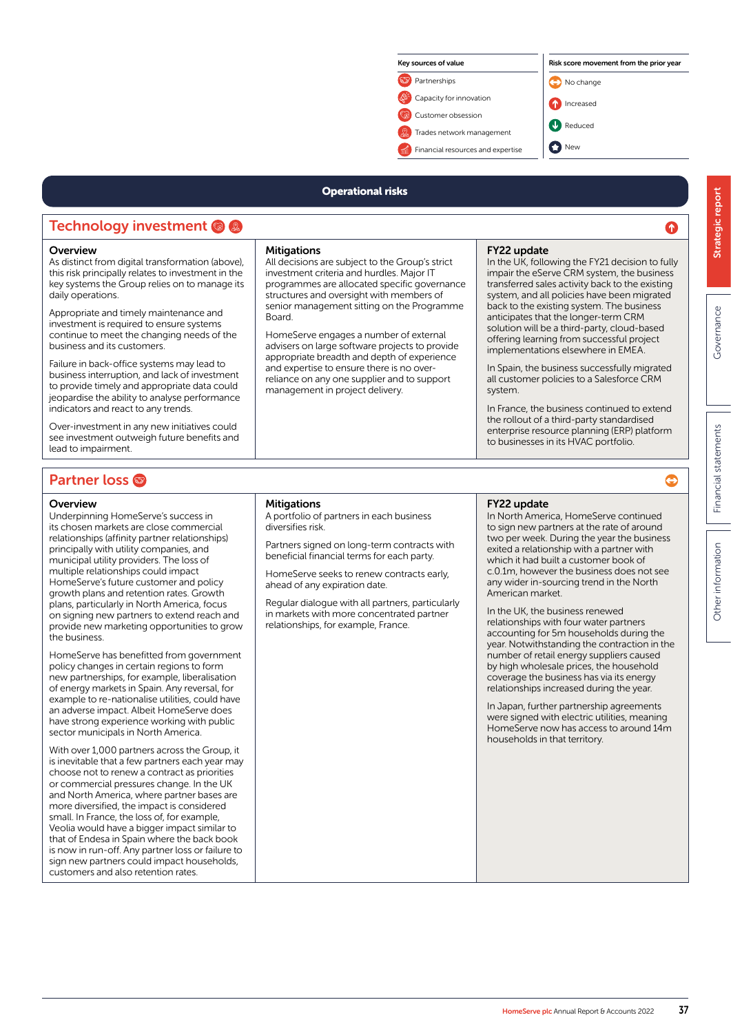

### Operational risks

# Technology investment @ @

### **Overview**

As distinct from digital transformation (above), this risk principally relates to investment in the key systems the Group relies on to manage its daily operations.

Appropriate and timely maintenance and investment is required to ensure systems continue to meet the changing needs of the business and its customers.

Failure in back-office systems may lead to business interruption, and lack of investment to provide timely and appropriate data could jeopardise the ability to analyse performance indicators and react to any trends.

Over-investment in any new initiatives could see investment outweigh future benefits and lead to impairment.

### **Mitigations**

All decisions are subject to the Group's strict investment criteria and hurdles. Major IT programmes are allocated specific governance structures and oversight with members of senior management sitting on the Programme Board.

HomeServe engages a number of external advisers on large software projects to provide appropriate breadth and depth of experience and expertise to ensure there is no overreliance on any one supplier and to support management in project delivery.

### FY22 update

In the UK, following the FY21 decision to fully impair the eServe CRM system, the business transferred sales activity back to the existing system, and all policies have been migrated back to the existing system. The business anticipates that the longer-term CRM solution will be a third-party, cloud-based offering learning from successful project implementations elsewhere in EMEA.

In Spain, the business successfully migrated all customer policies to a Salesforce CRM system.

In France, the business continued to extend the rollout of a third-party standardised enterprise resource planning (ERP) platform to businesses in its HVAC portfolio.

# **Partner loss**

### **Overview**

Underpinning HomeServe's success in its chosen markets are close commercial relationships (affinity partner relationships) principally with utility companies, and municipal utility providers. The loss of multiple relationships could impact HomeServe's future customer and policy growth plans and retention rates. Growth plans, particularly in North America, focus on signing new partners to extend reach and provide new marketing opportunities to grow the business.

HomeServe has benefitted from government policy changes in certain regions to form new partnerships, for example, liberalisation of energy markets in Spain. Any reversal, for example to re-nationalise utilities, could have an adverse impact. Albeit HomeServe does have strong experience working with public sector municipals in North America.

With over 1,000 partners across the Group, it is inevitable that a few partners each year may choose not to renew a contract as priorities or commercial pressures change. In the UK and North America, where partner bases are more diversified, the impact is considered small. In France, the loss of, for example, Veolia would have a bigger impact similar to that of Endesa in Spain where the back book is now in run-off. Any partner loss or failure to sign new partners could impact households, customers and also retention rates.

### **Mitigations**

A portfolio of partners in each business diversifies risk.

Partners signed on long-term contracts with beneficial financial terms for each party.

HomeServe seeks to renew contracts early, ahead of any expiration date.

Regular dialogue with all partners, particularly in markets with more concentrated partner relationships, for example, France.

### FY22 update

In North America, HomeServe continued to sign new partners at the rate of around two per week. During the year the business exited a relationship with a partner with which it had built a customer book of c.0.1m, however the business does not see any wider in-sourcing trend in the North American market.

In the UK, the business renewed relationships with four water partners accounting for 5m households during the year. Notwithstanding the contraction in the number of retail energy suppliers caused by high wholesale prices, the household coverage the business has via its energy relationships increased during the year.

In Japan, further partnership agreements were signed with electric utilities, meaning HomeServe now has access to around 14m households in that territory.

Ω

 $\bullet$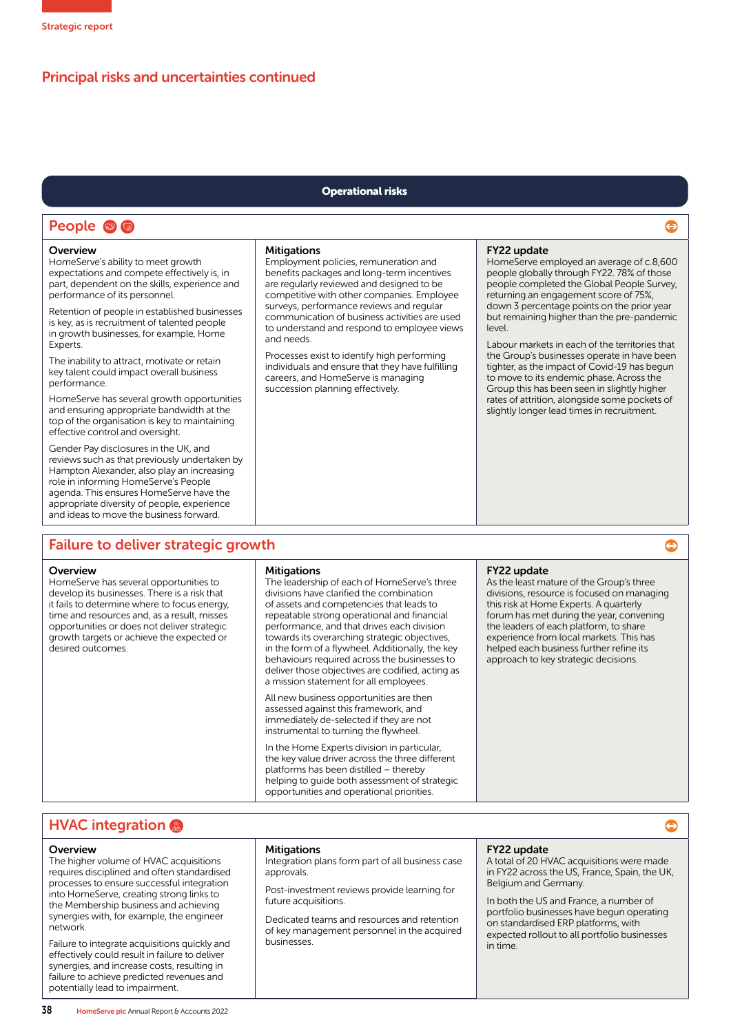# Principal risks and uncertainties continued

### Operational risks

# People <sup>®</sup>

### **Overview**

HomeServe's ability to meet growth expectations and compete effectively is, in part, dependent on the skills, experience and performance of its personnel.

Retention of people in established businesses is key, as is recruitment of talented people in growth businesses, for example, Home **Experts** 

The inability to attract, motivate or retain key talent could impact overall business performance.

HomeServe has several growth opportunities and ensuring appropriate bandwidth at the top of the organisation is key to maintaining effective control and oversight.

Gender Pay disclosures in the UK, and reviews such as that previously undertaken by Hampton Alexander, also play an increasing role in informing HomeServe's People agenda. This ensures HomeServe have the appropriate diversity of people, experience and ideas to move the business forward.

### **Mitigations**

Employment policies, remuneration and benefits packages and long-term incentives are regularly reviewed and designed to be competitive with other companies. Employee surveys, performance reviews and regular communication of business activities are used to understand and respond to employee views and needs.

Processes exist to identify high performing individuals and ensure that they have fulfilling careers, and HomeServe is managing succession planning effectively.

### FY22 update

HomeServe employed an average of c.8,600 people globally through FY22. 78% of those people completed the Global People Survey, returning an engagement score of 75%, down 3 percentage points on the prior year but remaining higher than the pre-pandemic level.

 $\bullet$ 

 $\bullet$ 

 $\bullet$ 

Labour markets in each of the territories that the Group's businesses operate in have been tighter, as the impact of Covid-19 has begun to move to its endemic phase. Across the Group this has been seen in slightly higher rates of attrition, alongside some pockets of slightly longer lead times in recruitment.

## Failure to deliver strategic growth

### **Overview**

HomeServe has several opportunities to develop its businesses. There is a risk that it fails to determine where to focus energy, time and resources and, as a result, misses opportunities or does not deliver strategic growth targets or achieve the expected or desired outcomes.

#### **Mitigations**

The leadership of each of HomeServe's three divisions have clarified the combination of assets and competencies that leads to repeatable strong operational and financial performance, and that drives each division towards its overarching strategic objectives, in the form of a flywheel. Additionally, the key behaviours required across the businesses to deliver those objectives are codified, acting as a mission statement for all employees.

All new business opportunities are then assessed against this framework, and immediately de-selected if they are not instrumental to turning the flywheel.

In the Home Experts division in particular, the key value driver across the three different platforms has been distilled – thereby helping to guide both assessment of strategic opportunities and operational priorities.

### FY22 update

As the least mature of the Group's three divisions, resource is focused on managing this risk at Home Experts. A quarterly forum has met during the year, convening the leaders of each platform, to share experience from local markets. This has helped each business further refine its approach to key strategic decisions.

# **HVAC integration**

### **Overview**

The higher volume of HVAC acquisitions requires disciplined and often standardised processes to ensure successful integration into HomeServe, creating strong links to the Membership business and achieving synergies with, for example, the engineer network.

Failure to integrate acquisitions quickly and effectively could result in failure to deliver synergies, and increase costs, resulting in failure to achieve predicted revenues and potentially lead to impairment.

### **Mitigations**

Integration plans form part of all business case approvals.

Post-investment reviews provide learning for future acquisitions.

Dedicated teams and resources and retention of key management personnel in the acquired businesses.

### FY22 update

A total of 20 HVAC acquisitions were made in FY22 across the US, France, Spain, the UK, Belgium and Germany.

In both the US and France, a number of portfolio businesses have begun operating on standardised ERP platforms, with expected rollout to all portfolio businesses in time.